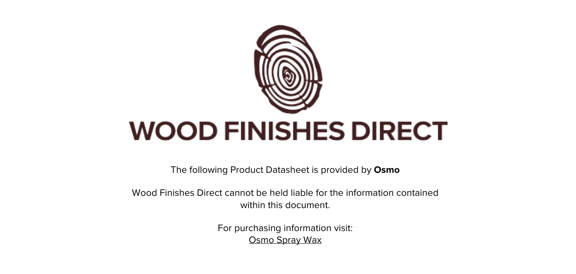

The following Product Datasheet is provided by **Osmo**

Wood Finishes Direct cannot be held liable for the information contained within this document

> For purchasing information visit: [Osmo Spray Wax](https://www.wood-finishes-direct.com/product/osmo-spray-wax)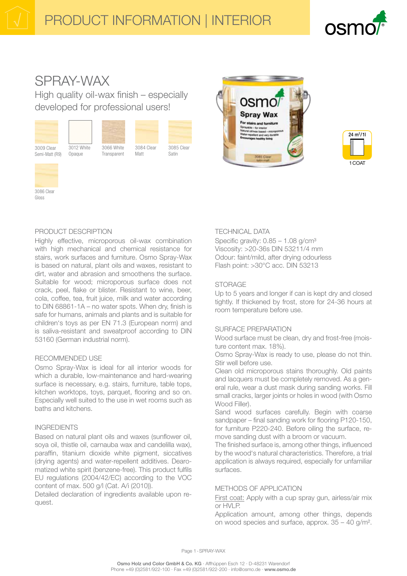

# SPRAY-WAX

High quality oil-wax finish - especially developed for professional users!



Semi-Matt (R9)



Opaque



3066 White

Transparent

Matt

3084 Clear

3085 Clear Satin







Gloss

#### PRODUCT DESCRIPTION

Highly effective, microporous oil-wax combination with high mechanical and chemical resistance for stairs, work surfaces and furniture, Osmo Spray-Wax is based on natural, plant oils and waxes, resistant to dirt, water and abrasion and smoothens the surface. Suitable for wood; microporous surface does not crack, peel, flake or blister. Resistant to wine, beer. cola, coffee, tea, fruit juice, milk and water according to DIN 68861-1A - no water spots. When dry, finish is safe for humans, animals and plants and is suitable for children's toys as per EN 71.3 (European norm) and is saliva-resistant and sweatproof according to DIN 53160 (German industrial norm).

# **RECOMMENDED USE**

Osmo Spray-Wax is ideal for all interior woods for which a durable, low-maintenance and hard-wearing surface is necessary, e.g. stairs, furniture, table tops, kitchen worktops, toys, parquet, flooring and so on. Especially well suited to the use in wet rooms such as baths and kitchens.

#### **INGREDIENTS**

Based on natural plant oils and waxes (sunflower oil, soya oil, thistle oil, carnauba wax and candelilla wax), paraffin, titanium dioxide white pigment, siccatives (drying agents) and water-repellent additives. Dearomatized white spirit (benzene-free). This product fulfils EU regulations (2004/42/EC) according to the VOC content of max. 500 g/l (Cat. A/i (2010)).

Detailed declaration of ingredients available upon request.

# **TECHNICAL DATA**

Specific gravity:  $0.85 - 1.08$  g/cm<sup>3</sup> Viscosity: >20-36s DIN 53211/4 mm Odour: faint/mild, after drving odourless Flash point: >30°C acc. DIN 53213

# **STORAGE**

Up to 5 years and longer if can is kept dry and closed tightly. If thickened by frost, store for 24-36 hours at room temperature before use.

# SURFACE PREPARATION

Wood surface must be clean, dry and frost-free (moisture content max. 18%).

Osmo Spray-Wax is ready to use, please do not thin. Stir well before use.

Clean old microporous stains thoroughly. Old paints and lacquers must be completely removed. As a general rule, wear a dust mask during sanding works. Fill small cracks, larger joints or holes in wood (with Osmo Wood Filler).

Sand wood surfaces carefully. Begin with coarse sandpaper – final sanding work for flooring P120-150, for furniture P220-240. Before oiling the surface, remove sanding dust with a broom or vacuum.

The finished surface is, among other things, influenced by the wood's natural characteristics. Therefore, a trial application is always required, especially for unfamiliar surfaces

# METHODS OF APPLICATION

First coat: Apply with a cup spray gun, airless/air mix or HVLP.

Application amount, among other things, depends on wood species and surface, approx.  $35 - 40$  g/m<sup>2</sup>.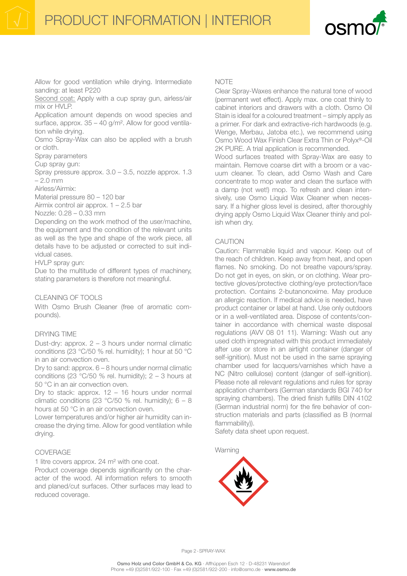

Allow for good ventilation while drying. Intermediate sanding: at least P220

Second coat: Apply with a cup spray gun, airless/air mix or HVLP.

Application amount depends on wood species and surface, approx. 35 - 40 g/m<sup>2</sup>. Allow for good ventilation while drying.

Osmo Spray-Wax can also be applied with a brush or cloth.

Spray parameters

Cup spray gun:

Spray pressure approx.  $3.0 - 3.5$ , nozzle approx. 1.3  $-2.0$  mm

Airless/Airmix:

Material pressure 80 - 120 bar

Airmix control air approx.  $1 - 2.5$  bar

Nozzle: 0.28 - 0.33 mm

Depending on the work method of the user/machine, the equipment and the condition of the relevant units as well as the type and shape of the work piece, all details have to be adjusted or corrected to suit individual cases.

HVLP spray gun:

Due to the multitude of different types of machinery, stating parameters is therefore not meaningful.

#### CLEANING OF TOOLS

With Osmo Brush Cleaner (free of aromatic compounds).

#### **DRYING TIME**

Dust-dry: approx.  $2 - 3$  hours under normal climatic conditions (23 °C/50 % rel. humidity); 1 hour at 50 °C in an air convection oven.

Dry to sand: approx.  $6 - 8$  hours under normal climatic conditions (23  $\degree$ C/50 % rel. humidity); 2 – 3 hours at 50 °C in an air convection oven.

Dry to stack: approx.  $12 - 16$  hours under normal climatic conditions (23 °C/50 % rel. humidity);  $6 - 8$ hours at 50 °C in an air convection oven.

Lower temperatures and/or higher air humidity can increase the drying time. Allow for good ventilation while drying.

#### COVERAGE

1 litre covers approx. 24 m<sup>2</sup> with one coat.

Product coverage depends significantly on the character of the wood. All information refers to smooth and planed/cut surfaces. Other surfaces may lead to reduced coverage.

#### **NOTE**

Clear Spray-Waxes enhance the natural tone of wood (permanent wet effect). Apply max. one coat thinly to cabinet interiors and drawers with a cloth. Osmo Oil Stain is ideal for a coloured treatment – simply apply as a primer. For dark and extractive-rich hardwoods (e.g. Wenge, Merbau, Jatoba etc.), we recommend using Osmo Wood Wax Finish Clear Extra Thin or Polyx®-Oil 2K PURE. A trial application is recommended.

Wood surfaces treated with Spray-Wax are easy to maintain. Remove coarse dirt with a broom or a vacuum cleaner. To clean, add Osmo Wash and Care concentrate to mop water and clean the surface with a damp (not wet!) mop. To refresh and clean intensively, use Osmo Liquid Wax Cleaner when necessary. If a higher gloss level is desired, after thoroughly drying apply Osmo Liquid Wax Cleaner thinly and polish when drv.

#### **CAUTION**

Caution: Flammable liquid and vapour. Keep out of the reach of children. Keep away from heat, and open flames. No smoking. Do not breathe vapours/spray. Do not get in eyes, on skin, or on clothing. Wear protective aloves/protective clothing/eve protection/face protection. Contains 2-butanonoxime. May produce an allergic reaction. If medical advice is needed, have product container or label at hand. Use only outdoors or in a well-ventilated area. Dispose of contents/container in accordance with chemical waste disposal regulations (AVV 08 01 11). Warning: Wash out any used cloth impregnated with this product immediately after use or store in an airtight container (danger of self-ignition). Must not be used in the same spraving chamber used for lacquers/varnishes which have a NC (Nitro cellulose) content (danger of self-ignition). Please note all relevant regulations and rules for spray application chambers (German standards BGI 740 for spraying chambers). The dried finish fulfills DIN 4102 (German industrial norm) for the fire behavior of construction materials and parts (classified as B (normal flammability)).

Safety data sheet upon request.

Warning



Page 2 - SPRAY-WAX